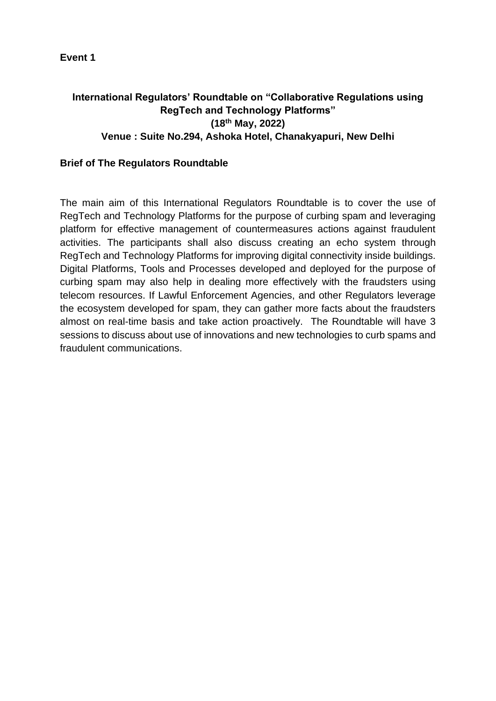## **International Regulators' Roundtable on "Collaborative Regulations using RegTech and Technology Platforms" (18th May, 2022) Venue : Suite No.294, Ashoka Hotel, Chanakyapuri, New Delhi**

## **Brief of The Regulators Roundtable**

The main aim of this International Regulators Roundtable is to cover the use of RegTech and Technology Platforms for the purpose of curbing spam and leveraging platform for effective management of countermeasures actions against fraudulent activities. The participants shall also discuss creating an echo system through RegTech and Technology Platforms for improving digital connectivity inside buildings. Digital Platforms, Tools and Processes developed and deployed for the purpose of curbing spam may also help in dealing more effectively with the fraudsters using telecom resources. If Lawful Enforcement Agencies, and other Regulators leverage the ecosystem developed for spam, they can gather more facts about the fraudsters almost on real-time basis and take action proactively. The Roundtable will have 3 sessions to discuss about use of innovations and new technologies to curb spams and fraudulent communications.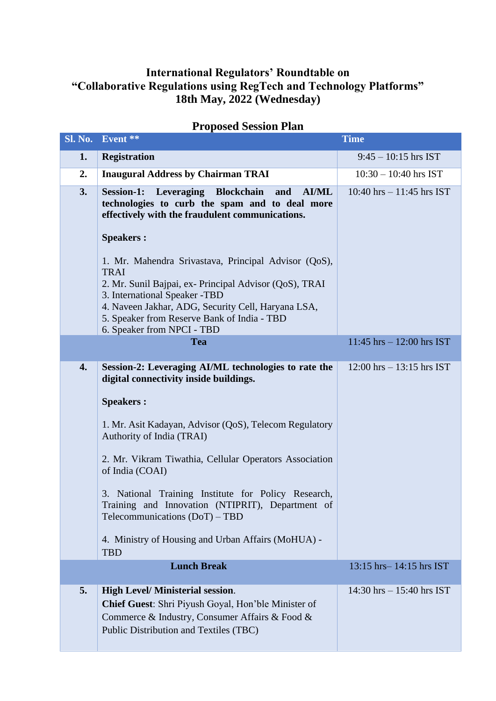## **International Regulators' Roundtable on "Collaborative Regulations using RegTech and Technology Platforms" 18th May, 2022 (Wednesday)**

| <b>Sl. No.</b> | Event **                                                                                                                                                                                         | <b>Time</b>                   |
|----------------|--------------------------------------------------------------------------------------------------------------------------------------------------------------------------------------------------|-------------------------------|
| 1.             | <b>Registration</b>                                                                                                                                                                              | $9:45 - 10:15$ hrs IST        |
| 2.             | <b>Inaugural Address by Chairman TRAI</b>                                                                                                                                                        | $10:30 - 10:40$ hrs IST       |
| 3.             | <b>Session-1:</b><br>Leveraging Blockchain<br>and<br><b>AI/ML</b><br>technologies to curb the spam and to deal more<br>effectively with the fraudulent communications.                           | 10:40 hrs $- 11:45$ hrs IST   |
|                | <b>Speakers:</b><br>1. Mr. Mahendra Srivastava, Principal Advisor (QoS),<br><b>TRAI</b><br>2. Mr. Sunil Bajpai, ex- Principal Advisor (QoS), TRAI                                                |                               |
|                | 3. International Speaker -TBD<br>4. Naveen Jakhar, ADG, Security Cell, Haryana LSA,<br>5. Speaker from Reserve Bank of India - TBD<br>6. Speaker from NPCI - TBD                                 |                               |
|                | <b>Tea</b>                                                                                                                                                                                       | $11:45$ hrs $- 12:00$ hrs IST |
| 4.             | Session-2: Leveraging AI/ML technologies to rate the<br>digital connectivity inside buildings.                                                                                                   | $12:00$ hrs $-13:15$ hrs IST  |
|                | <b>Speakers:</b>                                                                                                                                                                                 |                               |
|                | 1. Mr. Asit Kadayan, Advisor (QoS), Telecom Regulatory<br>Authority of India (TRAI)                                                                                                              |                               |
|                | 2. Mr. Vikram Tiwathia, Cellular Operators Association<br>of India (COAI)                                                                                                                        |                               |
|                | 3. National Training Institute for Policy Research,<br>Training and Innovation (NTIPRIT), Department of<br>Telecommunications (DoT) - TBD                                                        |                               |
|                | 4. Ministry of Housing and Urban Affairs (MoHUA) -<br><b>TBD</b>                                                                                                                                 |                               |
|                | <b>Lunch Break</b>                                                                                                                                                                               | 13:15 hrs-14:15 hrs IST       |
| 5.             | <b>High Level/Ministerial session.</b><br><b>Chief Guest:</b> Shri Piyush Goyal, Hon'ble Minister of<br>Commerce & Industry, Consumer Affairs & Food &<br>Public Distribution and Textiles (TBC) | 14:30 hrs $- 15:40$ hrs IST   |

## **Proposed Session Plan**